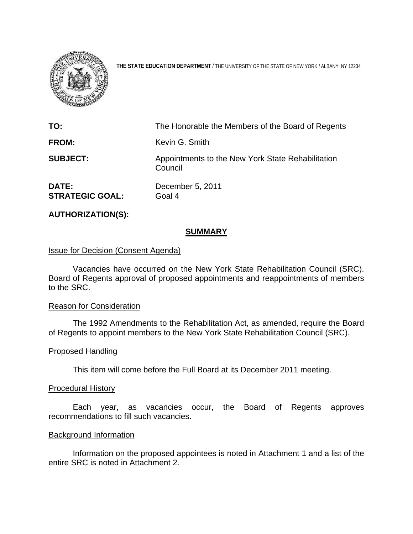

**THE STATE EDUCATION DEPARTMENT** / THE UNIVERSITY OF THE STATE OF NEW YORK / ALBANY, NY 12234

| TO:                                    | The Honorable the Members of the Board of Regents            |
|----------------------------------------|--------------------------------------------------------------|
| <b>FROM:</b>                           | Kevin G. Smith                                               |
| <b>SUBJECT:</b>                        | Appointments to the New York State Rehabilitation<br>Council |
| <b>DATE:</b><br><b>STRATEGIC GOAL:</b> | December 5, 2011<br>Goal 4                                   |

**AUTHORIZATION(S):** 

### **SUMMARY**

### **Issue for Decision (Consent Agenda)**

Vacancies have occurred on the New York State Rehabilitation Council (SRC). Board of Regents approval of proposed appointments and reappointments of members to the SRC.

### Reason for Consideration

The 1992 Amendments to the Rehabilitation Act, as amended, require the Board of Regents to appoint members to the New York State Rehabilitation Council (SRC).

### Proposed Handling

This item will come before the Full Board at its December 2011 meeting.

## Procedural History

Each year, as vacancies occur, the Board of Regents approves recommendations to fill such vacancies.

### Background Information

 Information on the proposed appointees is noted in Attachment 1 and a list of the entire SRC is noted in Attachment 2.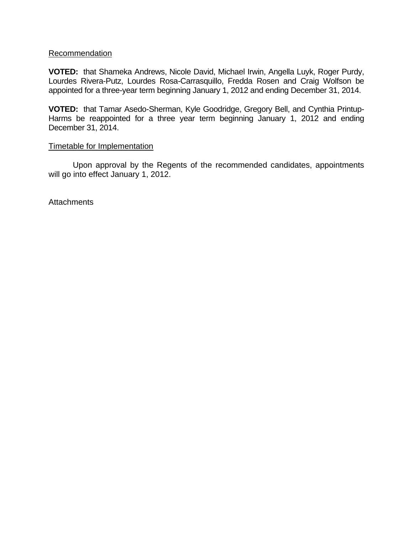### Recommendation

**VOTED:** that Shameka Andrews, Nicole David, Michael Irwin, Angella Luyk, Roger Purdy, Lourdes Rivera-Putz, Lourdes Rosa-Carrasquillo, Fredda Rosen and Craig Wolfson be appointed for a three-year term beginning January 1, 2012 and ending December 31, 2014.

**VOTED:** that Tamar Asedo-Sherman, Kyle Goodridge, Gregory Bell, and Cynthia Printup-Harms be reappointed for a three year term beginning January 1, 2012 and ending December 31, 2014.

### Timetable for Implementation

Upon approval by the Regents of the recommended candidates, appointments will go into effect January 1, 2012.

**Attachments**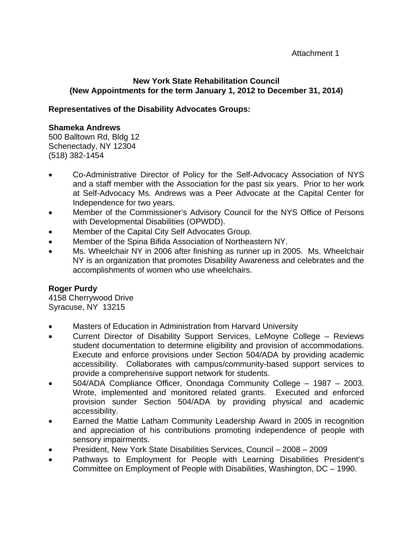# **New York State Rehabilitation Council (New Appointments for the term January 1, 2012 to December 31, 2014)**

# **Representatives of the Disability Advocates Groups:**

### **Shameka Andrews**

500 Balltown Rd, Bldg 12 Schenectady, NY 12304 (518) 382-1454

- Co-Administrative Director of Policy for the Self-Advocacy Association of NYS and a staff member with the Association for the past six years. Prior to her work at Self-Advocacy Ms. Andrews was a Peer Advocate at the Capital Center for Independence for two years.
- Member of the Commissioner's Advisory Council for the NYS Office of Persons with Developmental Disabilities (OPWDD).
- Member of the Capital City Self Advocates Group.
- Member of the Spina Bifida Association of Northeastern NY.
- Ms. Wheelchair NY in 2006 after finishing as runner up in 2005. Ms. Wheelchair NY is an organization that promotes Disability Awareness and celebrates and the accomplishments of women who use wheelchairs.

# **Roger Purdy**

4158 Cherrywood Drive Syracuse, NY 13215

- Masters of Education in Administration from Harvard University
- Current Director of Disability Support Services, LeMoyne College Reviews student documentation to determine eligibility and provision of accommodations. Execute and enforce provisions under Section 504/ADA by providing academic accessibility. Collaborates with campus/community-based support services to provide a comprehensive support network for students.
- 504/ADA Compliance Officer, Onondaga Community College 1987 2003. Wrote, implemented and monitored related grants. Executed and enforced provision sunder Section 504/ADA by providing physical and academic accessibility.
- Earned the Mattie Latham Community Leadership Award in 2005 in recognition and appreciation of his contributions promoting independence of people with sensory impairments.
- President, New York State Disabilities Services, Council 2008 2009
- Pathways to Employment for People with Learning Disabilities President's Committee on Employment of People with Disabilities, Washington, DC – 1990.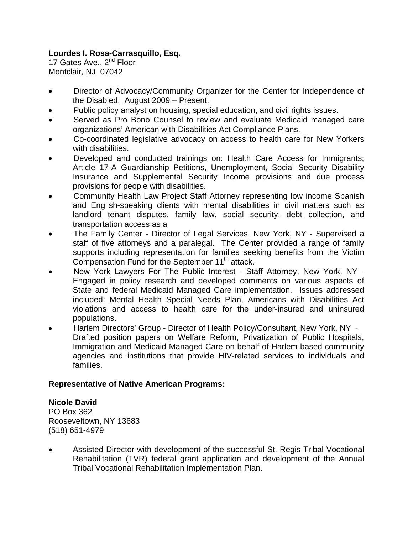# **Lourdes I. Rosa-Carrasquillo, Esq.**

17 Gates Ave., 2<sup>nd</sup> Floor Montclair, NJ 07042

- Director of Advocacy/Community Organizer for the Center for Independence of the Disabled. August 2009 – Present.
- Public policy analyst on housing, special education, and civil rights issues.
- Served as Pro Bono Counsel to review and evaluate Medicaid managed care organizations' American with Disabilities Act Compliance Plans.
- Co-coordinated legislative advocacy on access to health care for New Yorkers with disabilities.
- Developed and conducted trainings on: Health Care Access for Immigrants; Article 17-A Guardianship Petitions, Unemployment, Social Security Disability Insurance and Supplemental Security Income provisions and due process provisions for people with disabilities.
- Community Health Law Project Staff Attorney representing low income Spanish and English-speaking clients with mental disabilities in civil matters such as landlord tenant disputes, family law, social security, debt collection, and transportation access as a
- The Family Center Director of Legal Services, New York, NY Supervised a staff of five attorneys and a paralegal. The Center provided a range of family supports including representation for families seeking benefits from the Victim Compensation Fund for the September 11<sup>th</sup> attack.
- New York Lawyers For The Public Interest Staff Attorney, New York, NY Engaged in policy research and developed comments on various aspects of State and federal Medicaid Managed Care implementation. Issues addressed included: Mental Health Special Needs Plan, Americans with Disabilities Act violations and access to health care for the under-insured and uninsured populations.
- Harlem Directors' Group Director of Health Policy/Consultant, New York, NY **-** Drafted position papers on Welfare Reform, Privatization of Public Hospitals, Immigration and Medicaid Managed Care on behalf of Harlem-based community agencies and institutions that provide HIV-related services to individuals and families.

## **Representative of Native American Programs:**

# **Nicole David**

PO Box 362 Rooseveltown, NY 13683 (518) 651-4979

 Assisted Director with development of the successful St. Regis Tribal Vocational Rehabilitation (TVR) federal grant application and development of the Annual Tribal Vocational Rehabilitation Implementation Plan.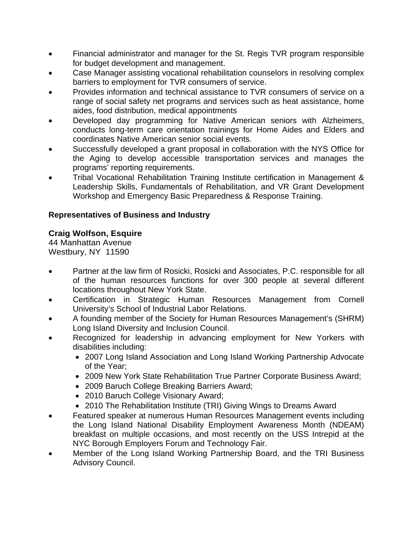- Financial administrator and manager for the St. Regis TVR program responsible for budget development and management.
- Case Manager assisting vocational rehabilitation counselors in resolving complex barriers to employment for TVR consumers of service.
- Provides information and technical assistance to TVR consumers of service on a range of social safety net programs and services such as heat assistance, home aides, food distribution, medical appointments
- Developed day programming for Native American seniors with Alzheimers, conducts long-term care orientation trainings for Home Aides and Elders and coordinates Native American senior social events.
- Successfully developed a grant proposal in collaboration with the NYS Office for the Aging to develop accessible transportation services and manages the programs' reporting requirements.
- Tribal Vocational Rehabilitation Training Institute certification in Management & Leadership Skills, Fundamentals of Rehabilitation, and VR Grant Development Workshop and Emergency Basic Preparedness & Response Training.

# **Representatives of Business and Industry**

# **Craig Wolfson, Esquire**

44 Manhattan Avenue Westbury, NY 11590

- Partner at the law firm of Rosicki, Rosicki and Associates, P.C. responsible for all of the human resources functions for over 300 people at several different locations throughout New York State.
- Certification in Strategic Human Resources Management from Cornell University's School of Industrial Labor Relations.
- A founding member of the Society for Human Resources Management's (SHRM) Long Island Diversity and Inclusion Council.
- Recognized for leadership in advancing employment for New Yorkers with disabilities including:
	- 2007 Long Island Association and Long Island Working Partnership Advocate of the Year;
	- 2009 New York State Rehabilitation True Partner Corporate Business Award;
	- 2009 Baruch College Breaking Barriers Award;
	- 2010 Baruch College Visionary Award;
	- 2010 The Rehabilitation Institute (TRI) Giving Wings to Dreams Award
- Featured speaker at numerous Human Resources Management events including the Long Island National Disability Employment Awareness Month (NDEAM) breakfast on multiple occasions, and most recently on the USS Intrepid at the NYC Borough Employers Forum and Technology Fair.
- Member of the Long Island Working Partnership Board, and the TRI Business Advisory Council.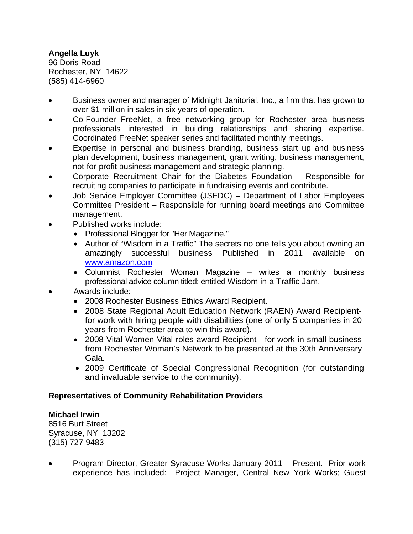**Angella Luyk** 96 Doris Road Rochester, NY 14622 (585) 414-6960

- Business owner and manager of Midnight Janitorial, Inc., a firm that has grown to over \$1 million in sales in six years of operation.
- Co-Founder FreeNet, a free networking group for Rochester area business professionals interested in building relationships and sharing expertise. Coordinated FreeNet speaker series and facilitated monthly meetings.
- Expertise in personal and business branding, business start up and business plan development, business management, grant writing, business management, not-for-profit business management and strategic planning.
- Corporate Recruitment Chair for the Diabetes Foundation Responsible for recruiting companies to participate in fundraising events and contribute.
- Job Service Employer Committee (JSEDC) Department of Labor Employees Committee President – Responsible for running board meetings and Committee management.
- Published works include:
	- Professional Blogger for "Her Magazine."
	- Author of "Wisdom in a Traffic" The secrets no one tells you about owning an amazingly successful business Published in 2011 available on [www.amazon.com](http://www.amazon.com/)
	- Columnist Rochester Woman Magazine writes a monthly business professional advice column titled: entitled Wisdom in a Traffic Jam.
- Awards include:
	- 2008 Rochester Business Ethics Award Recipient.
	- 2008 State Regional Adult Education Network (RAEN) Award Recipientfor work with hiring people with disabilities (one of only 5 companies in 20 years from Rochester area to win this award).
	- 2008 Vital Women Vital roles award Recipient for work in small business from Rochester Woman's Network to be presented at the 30th Anniversary Gala.
	- 2009 Certificate of Special Congressional Recognition (for outstanding and invaluable service to the community).

## **Representatives of Community Rehabilitation Providers**

## **Michael Irwin**

8516 Burt Street Syracuse, NY 13202 (315) 727-9483

 Program Director, Greater Syracuse Works January 2011 – Present. Prior work experience has included: Project Manager, Central New York Works; Guest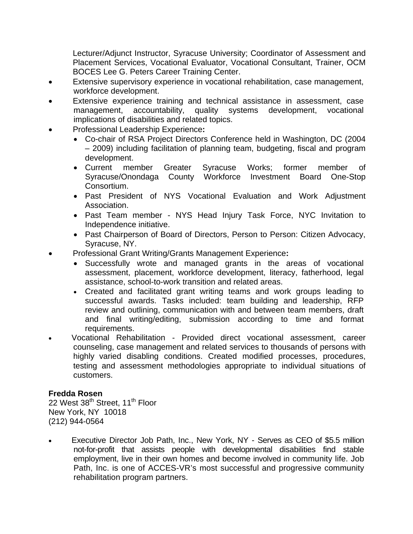Lecturer/Adjunct Instructor, Syracuse University; Coordinator of Assessment and Placement Services, Vocational Evaluator, Vocational Consultant, Trainer, OCM BOCES Lee G. Peters Career Training Center.

- Extensive supervisory experience in vocational rehabilitation, case management, workforce development.
- Extensive experience training and technical assistance in assessment, case management, accountability, quality systems development, vocational implications of disabilities and related topics.
- Professional Leadership Experience**:**
	- Co-chair of RSA Project Directors Conference held in Washington, DC (2004 – 2009) including facilitation of planning team, budgeting, fiscal and program development.
	- Current member Greater Syracuse Works; former member of Syracuse/Onondaga County Workforce Investment Board One-Stop Consortium.
	- Past President of NYS Vocational Evaluation and Work Adjustment Association.
	- Past Team member NYS Head Injury Task Force, NYC Invitation to Independence initiative.
	- Past Chairperson of Board of Directors, Person to Person: Citizen Advocacy, Syracuse, NY.
- Professional Grant Writing/Grants Management Experience**:**
	- Successfully wrote and managed grants in the areas of vocational assessment, placement, workforce development, literacy, fatherhood, legal assistance, school-to-work transition and related areas.
	- Created and facilitated grant writing teams and work groups leading to successful awards. Tasks included: team building and leadership, RFP review and outlining, communication with and between team members, draft and final writing/editing, submission according to time and format requirements.
- Vocational Rehabilitation Provided direct vocational assessment, career counseling, case management and related services to thousands of persons with highly varied disabling conditions. Created modified processes, procedures, testing and assessment methodologies appropriate to individual situations of customers.

## **Fredda Rosen**

22 West 38<sup>th</sup> Street, 11<sup>th</sup> Floor New York, NY 10018 (212) 944-0564

 Executive Director Job Path, Inc., New York, NY - Serves as CEO of \$5.5 million not-for-profit that assists people with developmental disabilities find stable employment, live in their own homes and become involved in community life. Job Path, Inc. is one of ACCES-VR's most successful and progressive community rehabilitation program partners.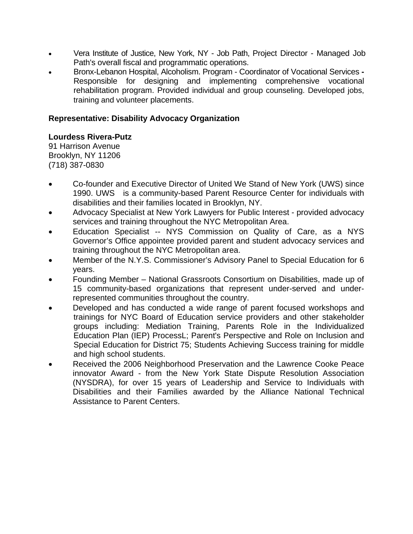- Vera Institute of Justice, New York, NY Job Path, Project Director Managed Job Path's overall fiscal and programmatic operations.
- Bronx-Lebanon Hospital, Alcoholism. Program Coordinator of Vocational Services Responsible for designing and implementing comprehensive vocational rehabilitation program. Provided individual and group counseling. Developed jobs, training and volunteer placements.

# **Representative: Disability Advocacy Organization**

## **Lourdess Rivera-Putz**

91 Harrison Avenue Brooklyn, NY 11206 (718) 387-0830

- Co-founder and Executive Director of United We Stand of New York (UWS) since 1990. UWS is a community-based Parent Resource Center for individuals with disabilities and their families located in Brooklyn, NY.
- Advocacy Specialist at New York Lawyers for Public Interest provided advocacy services and training throughout the NYC Metropolitan Area.
- Education Specialist -- NYS Commission on Quality of Care, as a NYS Governor's Office appointee provided parent and student advocacy services and training throughout the NYC Metropolitan area.
- Member of the N.Y.S. Commissioner's Advisory Panel to Special Education for 6 years.
- Founding Member National Grassroots Consortium on Disabilities, made up of 15 community-based organizations that represent under-served and underrepresented communities throughout the country.
- Developed and has conducted a wide range of parent focused workshops and trainings for NYC Board of Education service providers and other stakeholder groups including: Mediation Training, Parents Role in the Individualized Education Plan (IEP) ProcessL; Parent's Perspective and Role on Inclusion and Special Education for District 75; Students Achieving Success training for middle and high school students.
- Received the 2006 Neighborhood Preservation and the Lawrence Cooke Peace innovator Award - from the New York State Dispute Resolution Association (NYSDRA), for over 15 years of Leadership and Service to Individuals with Disabilities and their Families awarded by the Alliance National Technical Assistance to Parent Centers.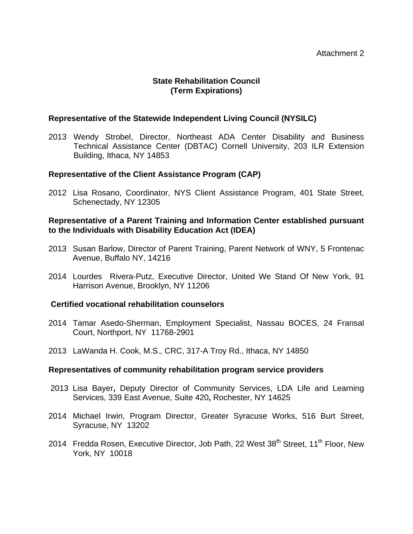# **State Rehabilitation Council (Term Expirations)**

### **Representative of the Statewide Independent Living Council (NYSILC)**

2013 Wendy Strobel, Director, Northeast ADA Center Disability and Business Technical Assistance Center (DBTAC) Cornell University, 203 ILR Extension Building, Ithaca, NY 14853

### **Representative of the Client Assistance Program (CAP)**

2012 Lisa Rosano, Coordinator, NYS Client Assistance Program, 401 State Street, Schenectady, NY 12305

### **Representative of a Parent Training and Information Center established pursuant to the Individuals with Disability Education Act (IDEA)**

- 2013 Susan Barlow, Director of Parent Training, Parent Network of WNY, 5 Frontenac Avenue, Buffalo NY, 14216
- 2014 Lourdes Rivera-Putz, Executive Director, United We Stand Of New York, 91 Harrison Avenue, Brooklyn, NY 11206

### **Certified vocational rehabilitation counselors**

- 2014 Tamar Asedo-Sherman, Employment Specialist, Nassau BOCES, 24 Fransal Court, Northport, NY 11768-2901
- 2013 LaWanda H. Cook, M.S., CRC, 317-A Troy Rd., Ithaca, NY 14850

### **Representatives of community rehabilitation program service providers**

- 2013 Lisa Bayer**,** Deputy Director of Community Services, LDA Life and Learning Services, 339 East Avenue, Suite 420**,** Rochester, NY 14625
- 2014 Michael Irwin, Program Director, Greater Syracuse Works, 516 Burt Street, Syracuse, NY 13202
- 2014 Fredda Rosen, Executive Director, Job Path, 22 West 38<sup>th</sup> Street, 11<sup>th</sup> Floor, New York, NY 10018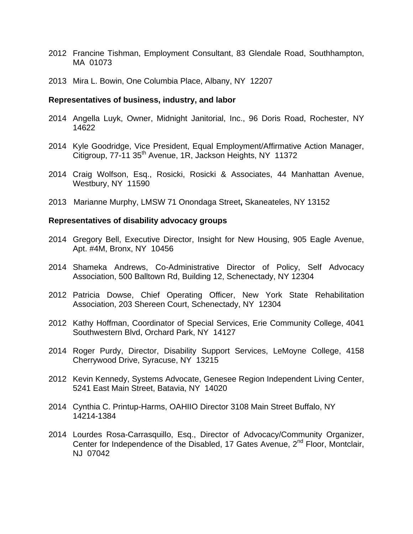- 2012 Francine Tishman, Employment Consultant, 83 Glendale Road, Southhampton, MA 01073
- 2013 Mira L. Bowin, One Columbia Place, Albany, NY 12207

#### **Representatives of business, industry, and labor**

- 2014 Angella Luyk, Owner, Midnight Janitorial, Inc., 96 Doris Road, Rochester, NY 14622
- 2014 Kyle Goodridge, Vice President, Equal Employment/Affirmative Action Manager, Citigroup, 77-11 35<sup>th</sup> Avenue, 1R, Jackson Heights, NY 11372
- 2014 Craig Wolfson, Esq., Rosicki, Rosicki & Associates, 44 Manhattan Avenue, Westbury, NY 11590
- 2013 Marianne Murphy, LMSW 71 Onondaga Street**,** Skaneateles, NY 13152

#### **Representatives of disability advocacy groups**

- 2014 Gregory Bell, Executive Director, Insight for New Housing, 905 Eagle Avenue, Apt. #4M, Bronx, NY 10456
- 2014 Shameka Andrews, Co-Administrative Director of Policy, Self Advocacy Association, 500 Balltown Rd, Building 12, Schenectady, NY 12304
- 2012 Patricia Dowse, Chief Operating Officer, New York State Rehabilitation Association, 203 Shereen Court, Schenectady, NY 12304
- 2012 Kathy Hoffman, Coordinator of Special Services, Erie Community College, 4041 Southwestern Blvd, Orchard Park, NY 14127
- 2014 Roger Purdy, Director, Disability Support Services, LeMoyne College, 4158 Cherrywood Drive, Syracuse, NY 13215
- 2012 Kevin Kennedy, Systems Advocate, Genesee Region Independent Living Center, 5241 East Main Street, Batavia, NY 14020
- 2014 Cynthia C. Printup-Harms, OAHIIO Director 3108 Main Street Buffalo, NY 14214-1384
- 2014 Lourdes Rosa-Carrasquillo, Esq., Director of Advocacy/Community Organizer, Center for Independence of the Disabled, 17 Gates Avenue, 2<sup>nd</sup> Floor, Montclair, NJ 07042